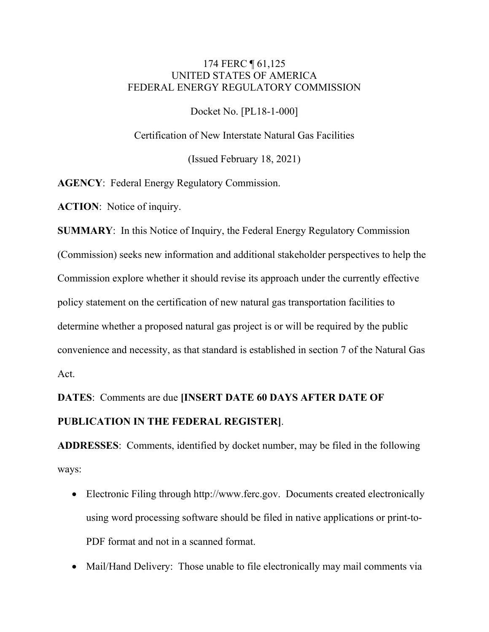## 174 FERC ¶ 61,125 UNITED STATES OF AMERICA FEDERAL ENERGY REGULATORY COMMISSION

Docket No. [PL18-1-000]

Certification of New Interstate Natural Gas Facilities

(Issued February 18, 2021)

**AGENCY**: Federal Energy Regulatory Commission.

**ACTION**: Notice of inquiry.

**SUMMARY**: In this Notice of Inquiry, the Federal Energy Regulatory Commission (Commission) seeks new information and additional stakeholder perspectives to help the Commission explore whether it should revise its approach under the currently effective policy statement on the certification of new natural gas transportation facilities to determine whether a proposed natural gas project is or will be required by the public convenience and necessity, as that standard is established in section 7 of the Natural Gas Act.

**DATES**: Comments are due **[INSERT DATE 60 DAYS AFTER DATE OF PUBLICATION IN THE FEDERAL REGISTER]**.

**ADDRESSES**: Comments, identified by docket number, may be filed in the following ways:

- Electronic Filing through http://www.ferc.gov. Documents created electronically using word processing software should be filed in native applications or print-to-PDF format and not in a scanned format.
- Mail/Hand Delivery: Those unable to file electronically may mail comments via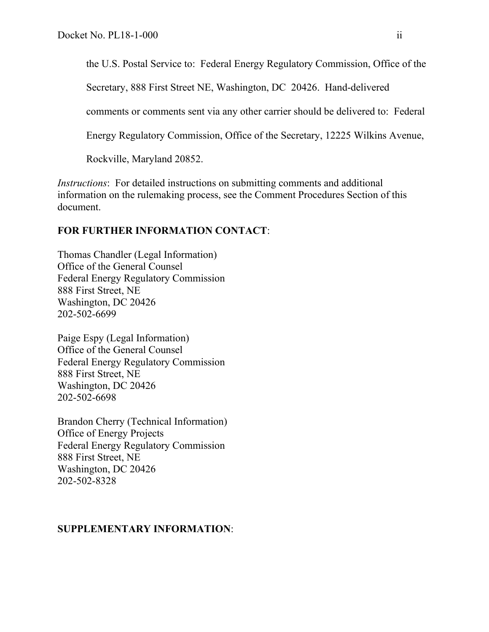the U.S. Postal Service to: Federal Energy Regulatory Commission, Office of the

Secretary, 888 First Street NE, Washington, DC 20426. Hand-delivered

comments or comments sent via any other carrier should be delivered to: Federal

Energy Regulatory Commission, Office of the Secretary, 12225 Wilkins Avenue,

Rockville, Maryland 20852.

*Instructions*: For detailed instructions on submitting comments and additional information on the rulemaking process, see the Comment Procedures Section of this document.

## **FOR FURTHER INFORMATION CONTACT**:

Thomas Chandler (Legal Information) Office of the General Counsel Federal Energy Regulatory Commission 888 First Street, NE Washington, DC 20426 202-502-6699

Paige Espy (Legal Information) Office of the General Counsel Federal Energy Regulatory Commission 888 First Street, NE Washington, DC 20426 202-502-6698

Brandon Cherry (Technical Information) Office of Energy Projects Federal Energy Regulatory Commission 888 First Street, NE Washington, DC 20426 202-502-8328

## **SUPPLEMENTARY INFORMATION**: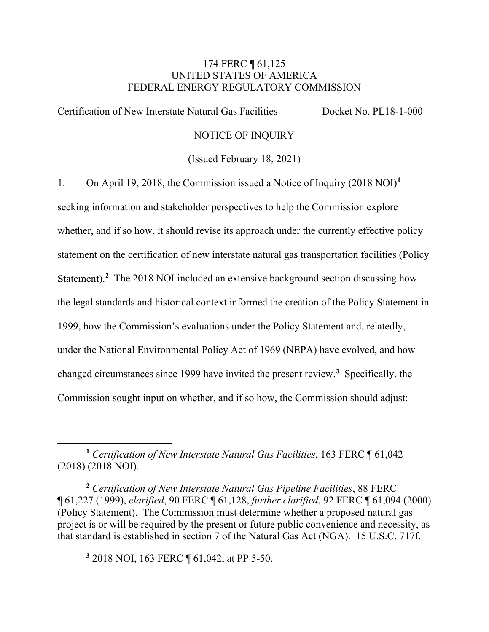## 174 FERC ¶ 61,125 UNITED STATES OF AMERICA FEDERAL ENERGY REGULATORY COMMISSION

Certification of New Interstate Natural Gas Facilities Docket No. PL18-1-000

### NOTICE OF INQUIRY

(Issued February 18, 2021)

1. On April 19, 2018, the Commission issued a Notice of Inquiry (2018 NOI)**[1](#page-2-0)** seeking information and stakeholder perspectives to help the Commission explore whether, and if so how, it should revise its approach under the currently effective policy statement on the certification of new interstate natural gas transportation facilities (Policy Statement).<sup>[2](#page-2-1)</sup> The 2018 NOI included an extensive background section discussing how the legal standards and historical context informed the creation of the Policy Statement in 1999, how the Commission's evaluations under the Policy Statement and, relatedly, under the National Environmental Policy Act of 1969 (NEPA) have evolved, and how changed circumstances since 1999 have invited the present review. **[3](#page-2-2)** Specifically, the Commission sought input on whether, and if so how, the Commission should adjust:

<span id="page-2-2"></span>**<sup>3</sup>** 2018 NOI, 163 FERC ¶ 61,042, at PP 5-50.

<span id="page-2-0"></span>**<sup>1</sup>** *Certification of New Interstate Natural Gas Facilities*, 163 FERC ¶ 61,042 (2018) (2018 NOI).

<span id="page-2-1"></span>**<sup>2</sup>** *Certification of New Interstate Natural Gas Pipeline Facilities*, 88 FERC ¶ 61,227 (1999), *clarified*, 90 FERC ¶ 61,128, *further clarified*, 92 FERC ¶ 61,094 (2000) (Policy Statement). The Commission must determine whether a proposed natural gas project is or will be required by the present or future public convenience and necessity, as that standard is established in section 7 of the Natural Gas Act (NGA). 15 U.S.C. 717f.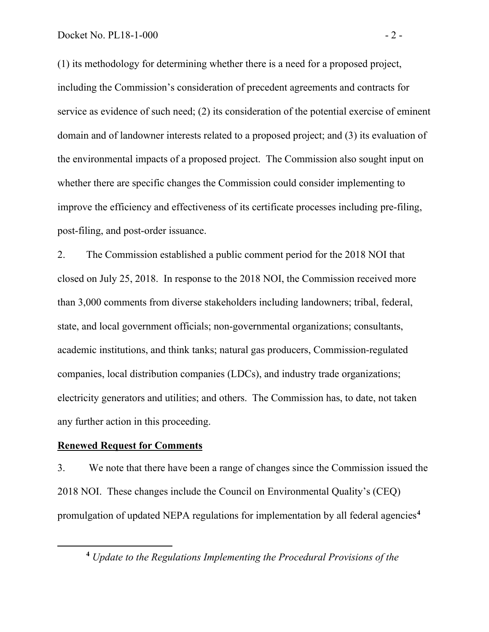(1) its methodology for determining whether there is a need for a proposed project, including the Commission's consideration of precedent agreements and contracts for service as evidence of such need; (2) its consideration of the potential exercise of eminent domain and of landowner interests related to a proposed project; and (3) its evaluation of the environmental impacts of a proposed project. The Commission also sought input on whether there are specific changes the Commission could consider implementing to improve the efficiency and effectiveness of its certificate processes including pre-filing, post-filing, and post-order issuance.

2. The Commission established a public comment period for the 2018 NOI that closed on July 25, 2018. In response to the 2018 NOI, the Commission received more than 3,000 comments from diverse stakeholders including landowners; tribal, federal, state, and local government officials; non-governmental organizations; consultants, academic institutions, and think tanks; natural gas producers, Commission-regulated companies, local distribution companies (LDCs), and industry trade organizations; electricity generators and utilities; and others. The Commission has, to date, not taken any further action in this proceeding.

#### **Renewed Request for Comments**

3. We note that there have been a range of changes since the Commission issued the 2018 NOI. These changes include the Council on Environmental Quality's (CEQ) promulgation of updated NEPA regulations for implementation by all federal agencies**[4](#page-3-0)**

<span id="page-3-0"></span>**<sup>4</sup>** *Update to the Regulations Implementing the Procedural Provisions of the*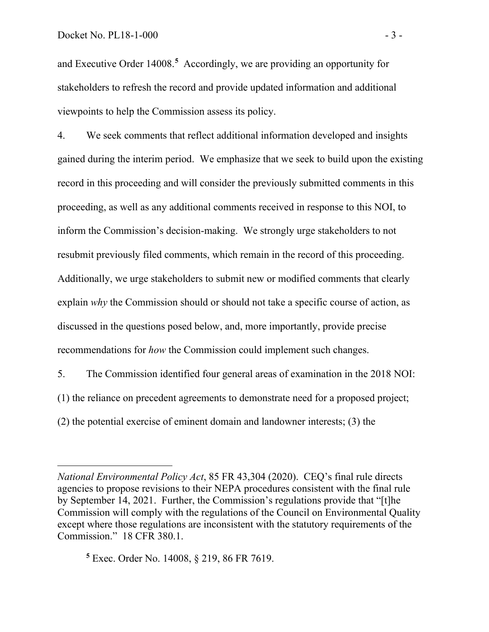and Executive Order 14008.<sup>[5](#page-4-0)</sup> Accordingly, we are providing an opportunity for stakeholders to refresh the record and provide updated information and additional viewpoints to help the Commission assess its policy.

4. We seek comments that reflect additional information developed and insights gained during the interim period. We emphasize that we seek to build upon the existing record in this proceeding and will consider the previously submitted comments in this proceeding, as well as any additional comments received in response to this NOI, to inform the Commission's decision-making. We strongly urge stakeholders to not resubmit previously filed comments, which remain in the record of this proceeding. Additionally, we urge stakeholders to submit new or modified comments that clearly explain *why* the Commission should or should not take a specific course of action, as discussed in the questions posed below, and, more importantly, provide precise recommendations for *how* the Commission could implement such changes.

5. The Commission identified four general areas of examination in the 2018 NOI: (1) the reliance on precedent agreements to demonstrate need for a proposed project; (2) the potential exercise of eminent domain and landowner interests; (3) the

<span id="page-4-0"></span>**<sup>5</sup>** Exec. Order No. 14008, § 219, 86 FR 7619.

*National Environmental Policy Act*, 85 FR 43,304 (2020). CEQ's final rule directs agencies to propose revisions to their NEPA procedures consistent with the final rule by September 14, 2021. Further, the Commission's regulations provide that "[t]he Commission will comply with the regulations of the Council on Environmental Quality except where those regulations are inconsistent with the statutory requirements of the Commission." 18 CFR 380.1.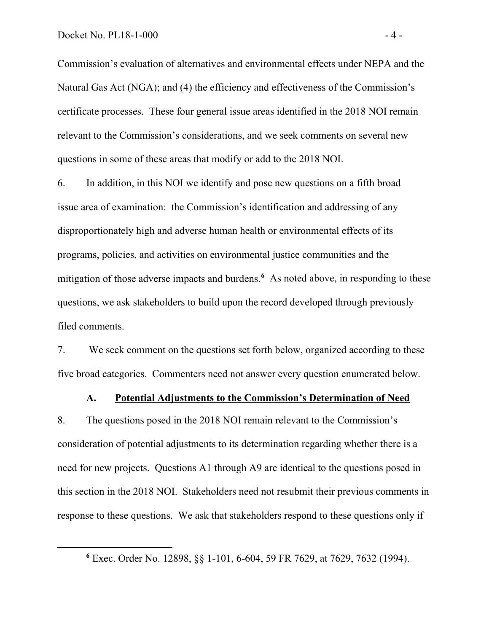Commission's evaluation of alternatives and environmental effects under NEPA and the Natural Gas Act (NGA); and (4) the efficiency and effectiveness of the Commission's certificate processes. These four general issue areas identified in the 2018 NOI remain relevant to the Commission's considerations, and we seek comments on several new questions in some of these areas that modify or add to the 2018 NOI.

6. In addition, in this NOI we identify and pose new questions on a fifth broad issue area of examination: the Commission's identification and addressing of any disproportionately high and adverse human health or environmental effects of its programs, policies, and activities on environmental justice communities and the mitigation of those adverse impacts and burdens.<sup>[6](#page-5-0)</sup> As noted above, in responding to these questions, we ask stakeholders to build upon the record developed through previously filed comments.

7. We seek comment on the questions set forth below, organized according to these five broad categories. Commenters need not answer every question enumerated below.

#### **A. Potential Adjustments to the Commission's Determination of Need**

8. The questions posed in the 2018 NOI remain relevant to the Commission's consideration of potential adjustments to its determination regarding whether there is a need for new projects. Questions A1 through A9 are identical to the questions posed in this section in the 2018 NOI. Stakeholders need not resubmit their previous comments in response to these questions. We ask that stakeholders respond to these questions only if

<span id="page-5-0"></span>**<sup>6</sup>** Exec. Order No. 12898, §§ 1-101, 6-604, 59 FR 7629, at 7629, 7632 (1994).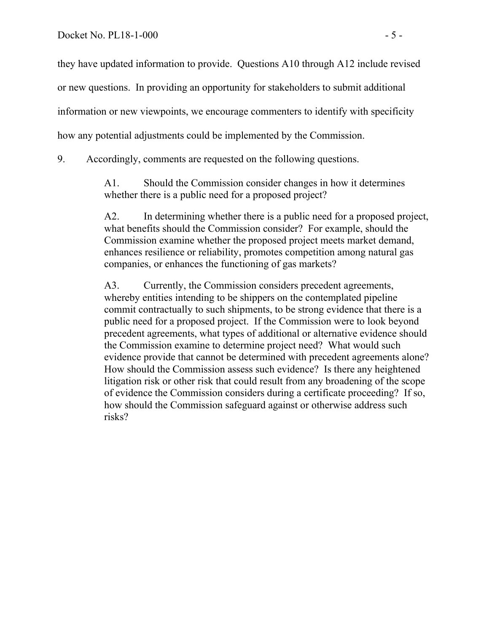they have updated information to provide. Questions A10 through A12 include revised

or new questions. In providing an opportunity for stakeholders to submit additional

information or new viewpoints, we encourage commenters to identify with specificity

how any potential adjustments could be implemented by the Commission.

9. Accordingly, comments are requested on the following questions.

A1. Should the Commission consider changes in how it determines whether there is a public need for a proposed project?

A2. In determining whether there is a public need for a proposed project, what benefits should the Commission consider? For example, should the Commission examine whether the proposed project meets market demand, enhances resilience or reliability, promotes competition among natural gas companies, or enhances the functioning of gas markets?

A3. Currently, the Commission considers precedent agreements, whereby entities intending to be shippers on the contemplated pipeline commit contractually to such shipments, to be strong evidence that there is a public need for a proposed project. If the Commission were to look beyond precedent agreements, what types of additional or alternative evidence should the Commission examine to determine project need? What would such evidence provide that cannot be determined with precedent agreements alone? How should the Commission assess such evidence? Is there any heightened litigation risk or other risk that could result from any broadening of the scope of evidence the Commission considers during a certificate proceeding? If so, how should the Commission safeguard against or otherwise address such risks?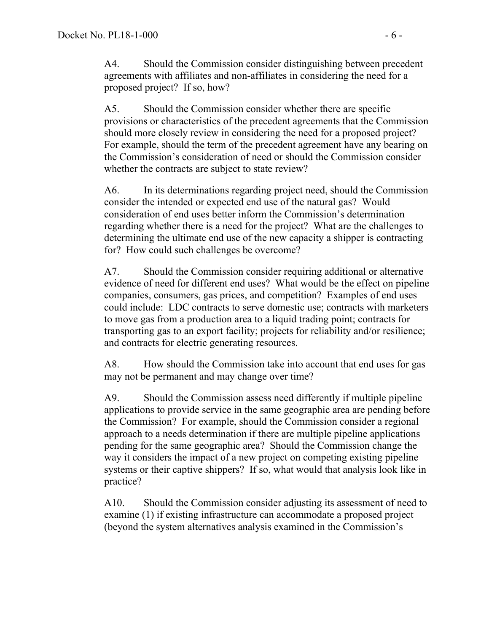A4. Should the Commission consider distinguishing between precedent agreements with affiliates and non-affiliates in considering the need for a proposed project? If so, how?

A5. Should the Commission consider whether there are specific provisions or characteristics of the precedent agreements that the Commission should more closely review in considering the need for a proposed project? For example, should the term of the precedent agreement have any bearing on the Commission's consideration of need or should the Commission consider whether the contracts are subject to state review?

A6. In its determinations regarding project need, should the Commission consider the intended or expected end use of the natural gas? Would consideration of end uses better inform the Commission's determination regarding whether there is a need for the project? What are the challenges to determining the ultimate end use of the new capacity a shipper is contracting for? How could such challenges be overcome?

A7. Should the Commission consider requiring additional or alternative evidence of need for different end uses? What would be the effect on pipeline companies, consumers, gas prices, and competition? Examples of end uses could include: LDC contracts to serve domestic use; contracts with marketers to move gas from a production area to a liquid trading point; contracts for transporting gas to an export facility; projects for reliability and/or resilience; and contracts for electric generating resources.

A8. How should the Commission take into account that end uses for gas may not be permanent and may change over time?

A9. Should the Commission assess need differently if multiple pipeline applications to provide service in the same geographic area are pending before the Commission? For example, should the Commission consider a regional approach to a needs determination if there are multiple pipeline applications pending for the same geographic area? Should the Commission change the way it considers the impact of a new project on competing existing pipeline systems or their captive shippers? If so, what would that analysis look like in practice?

A10. Should the Commission consider adjusting its assessment of need to examine (1) if existing infrastructure can accommodate a proposed project (beyond the system alternatives analysis examined in the Commission's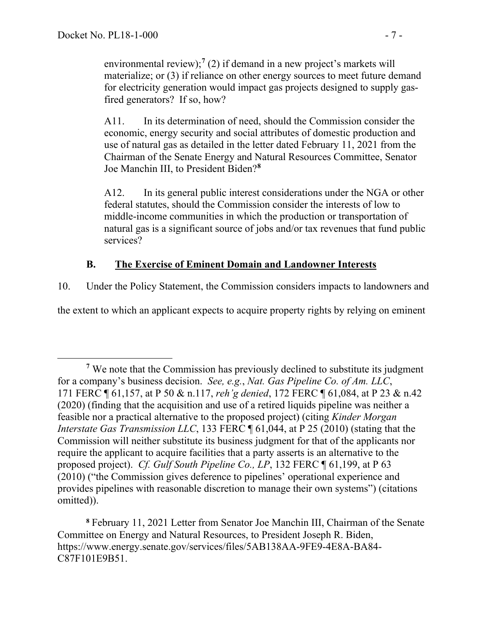environmental review);<sup>[7](#page-8-0)</sup> (2) if demand in a new project's markets will materialize; or (3) if reliance on other energy sources to meet future demand for electricity generation would impact gas projects designed to supply gasfired generators? If so, how?

A11. In its determination of need, should the Commission consider the economic, energy security and social attributes of domestic production and use of natural gas as detailed in the letter dated February 11, 2021 from the Chairman of the Senate Energy and Natural Resources Committee, Senator Joe Manchin III, to President Biden?**[8](#page-8-1)**

A12. In its general public interest considerations under the NGA or other federal statutes, should the Commission consider the interests of low to middle-income communities in which the production or transportation of natural gas is a significant source of jobs and/or tax revenues that fund public services?

# **B. The Exercise of Eminent Domain and Landowner Interests**

10. Under the Policy Statement, the Commission considers impacts to landowners and

the extent to which an applicant expects to acquire property rights by relying on eminent

<span id="page-8-1"></span>**<sup>8</sup>** February 11, 2021 Letter from Senator Joe Manchin III, Chairman of the Senate Committee on Energy and Natural Resources, to President Joseph R. Biden, https://www.energy.senate.gov/services/files/5AB138AA-9FE9-4E8A-BA84- C87F101E9B51.

<span id="page-8-0"></span>**<sup>7</sup>** We note that the Commission has previously declined to substitute its judgment for a company's business decision. *See, e.g.*, *Nat. Gas Pipeline Co. of Am. LLC*, 171 FERC ¶ 61,157, at P 50 & n.117, *reh'g denied*, 172 FERC ¶ 61,084, at P 23 & n.42 (2020) (finding that the acquisition and use of a retired liquids pipeline was neither a feasible nor a practical alternative to the proposed project) (citing *Kinder Morgan Interstate Gas Transmission LLC*, 133 FERC  $\text{\textdegree{}}61,044$ , at P 25 (2010) (stating that the Commission will neither substitute its business judgment for that of the applicants nor require the applicant to acquire facilities that a party asserts is an alternative to the proposed project). *Cf. Gulf South Pipeline Co., LP*, 132 FERC ¶ 61,199, at P 63 (2010) ("the Commission gives deference to pipelines' operational experience and provides pipelines with reasonable discretion to manage their own systems") (citations omitted)).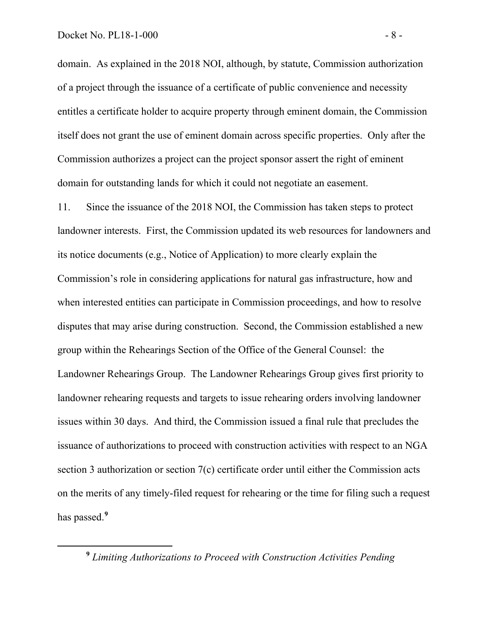domain. As explained in the 2018 NOI, although, by statute, Commission authorization of a project through the issuance of a certificate of public convenience and necessity entitles a certificate holder to acquire property through eminent domain, the Commission itself does not grant the use of eminent domain across specific properties. Only after the Commission authorizes a project can the project sponsor assert the right of eminent domain for outstanding lands for which it could not negotiate an easement.

11. Since the issuance of the 2018 NOI, the Commission has taken steps to protect landowner interests. First, the Commission updated its web resources for landowners and its notice documents (e.g., Notice of Application) to more clearly explain the Commission's role in considering applications for natural gas infrastructure, how and when interested entities can participate in Commission proceedings, and how to resolve disputes that may arise during construction. Second, the Commission established a new group within the Rehearings Section of the Office of the General Counsel: the Landowner Rehearings Group. The Landowner Rehearings Group gives first priority to landowner rehearing requests and targets to issue rehearing orders involving landowner issues within 30 days. And third, the Commission issued a final rule that precludes the issuance of authorizations to proceed with construction activities with respect to an NGA section 3 authorization or section 7(c) certificate order until either the Commission acts on the merits of any timely-filed request for rehearing or the time for filing such a request has passed. **[9](#page-9-0)**

<span id="page-9-0"></span>**<sup>9</sup>** *Limiting Authorizations to Proceed with Construction Activities Pending*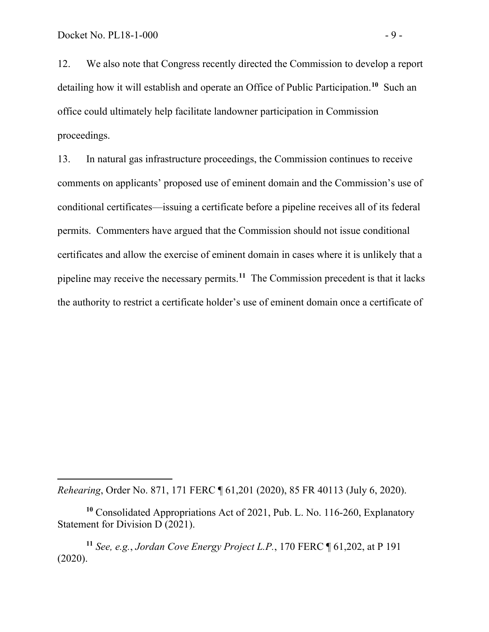12. We also note that Congress recently directed the Commission to develop a report detailing how it will establish and operate an Office of Public Participation.**[10](#page-10-0)** Such an office could ultimately help facilitate landowner participation in Commission proceedings.

13. In natural gas infrastructure proceedings, the Commission continues to receive comments on applicants' proposed use of eminent domain and the Commission's use of conditional certificates—issuing a certificate before a pipeline receives all of its federal permits. Commenters have argued that the Commission should not issue conditional certificates and allow the exercise of eminent domain in cases where it is unlikely that a pipeline may receive the necessary permits. **[11](#page-10-1)** The Commission precedent is that it lacks the authority to restrict a certificate holder's use of eminent domain once a certificate of

*Rehearing*, Order No. 871, 171 FERC ¶ 61,201 (2020), 85 FR 40113 (July 6, 2020).

<span id="page-10-0"></span>**<sup>10</sup>** Consolidated Appropriations Act of 2021, Pub. L. No. 116-260, Explanatory Statement for Division D (2021).

<span id="page-10-1"></span>**<sup>11</sup>** *See, e.g.*, *Jordan Cove Energy Project L.P.*, 170 FERC ¶ 61,202, at P 191 (2020).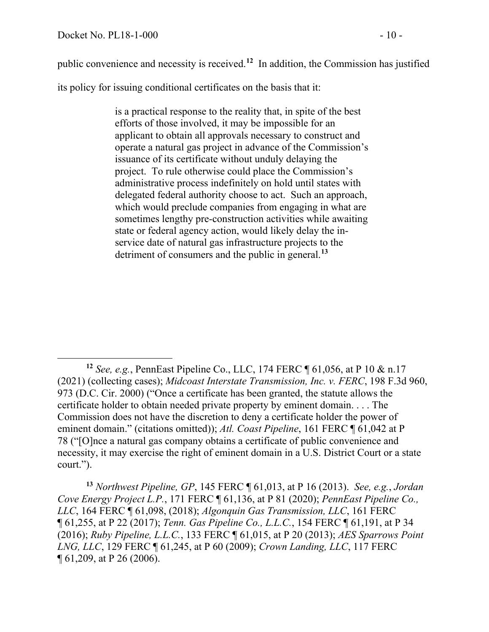public convenience and necessity is received.**[12](#page-11-0)** In addition, the Commission has justified

its policy for issuing conditional certificates on the basis that it:

is a practical response to the reality that, in spite of the best efforts of those involved, it may be impossible for an applicant to obtain all approvals necessary to construct and operate a natural gas project in advance of the Commission's issuance of its certificate without unduly delaying the project. To rule otherwise could place the Commission's administrative process indefinitely on hold until states with delegated federal authority choose to act. Such an approach, which would preclude companies from engaging in what are sometimes lengthy pre-construction activities while awaiting state or federal agency action, would likely delay the inservice date of natural gas infrastructure projects to the detriment of consumers and the public in general.**[13](#page-11-1)**

<span id="page-11-0"></span>**<sup>12</sup>** *See, e.g.*, [PennEast Pipeline Co., LLC, 174 FERC ¶ 61,056, at P 10 & n.17](https://1.next.westlaw.com/Link/Document/FullText?findType=Y&serNum=2052796156&pubNum=0000920&originatingDoc=Ibc56cc9f60a411eb9103e61873f647a5&refType=CA&originationContext=document&transitionType=DocumentItem&contextData=(sc.Search))  [\(2021\)](https://1.next.westlaw.com/Link/Document/FullText?findType=Y&serNum=2052796156&pubNum=0000920&originatingDoc=Ibc56cc9f60a411eb9103e61873f647a5&refType=CA&originationContext=document&transitionType=DocumentItem&contextData=(sc.Search)) (collecting cases); *Midcoast Interstate Transmission, Inc. v. FERC*, 198 F.3d 960, 973 (D.C. Cir. 2000) ("Once a certificate has been granted, the statute allows the certificate holder to obtain needed private property by eminent domain. . . . The Commission does not have the discretion to deny a certificate holder the power of eminent domain." (citations omitted)); *Atl. Coast Pipeline*, 161 FERC ¶ 61,042 at P 78 ("[O]nce a natural gas company obtains a certificate of public convenience and necessity, it may exercise the right of eminent domain in a U.S. District Court or a state court.").

<span id="page-11-1"></span>**<sup>13</sup>** *Northwest Pipeline, GP*, 145 FERC ¶ 61,013, at P 16 (2013). *See, e.g.*, *Jordan Cove Energy Project L.P.*, 171 FERC ¶ 61,136, at P 81 (2020); *PennEast Pipeline Co., LLC*, 164 FERC ¶ 61,098, (2018); *Algonquin Gas Transmission, LLC*, 161 FERC ¶ 61,255, at P 22 (2017); *Tenn. Gas Pipeline Co., L.L.C.*, 154 FERC ¶ 61,191, at P 34 (2016); *Ruby Pipeline, L.L.C.*, 133 FERC ¶ 61,015, at P 20 (2013); *AES Sparrows Point LNG, LLC*, 129 FERC ¶ 61,245, at P 60 (2009); *Crown Landing, LLC*, 117 FERC ¶ 61,209, at P 26 (2006).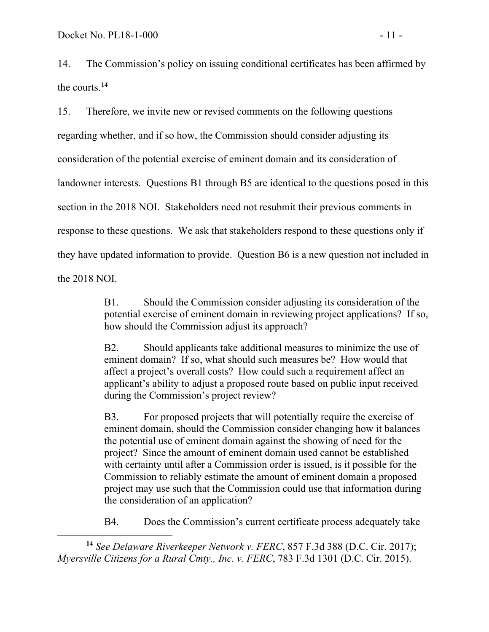14. The Commission's policy on issuing conditional certificates has been affirmed by the courts.**[14](#page-12-0)**

15. Therefore, we invite new or revised comments on the following questions regarding whether, and if so how, the Commission should consider adjusting its consideration of the potential exercise of eminent domain and its consideration of landowner interests. Questions B1 through B5 are identical to the questions posed in this section in the 2018 NOI. Stakeholders need not resubmit their previous comments in response to these questions. We ask that stakeholders respond to these questions only if they have updated information to provide. Question B6 is a new question not included in the 2018 NOI.

> B1. Should the Commission consider adjusting its consideration of the potential exercise of eminent domain in reviewing project applications? If so, how should the Commission adjust its approach?

B2. Should applicants take additional measures to minimize the use of eminent domain? If so, what should such measures be? How would that affect a project's overall costs? How could such a requirement affect an applicant's ability to adjust a proposed route based on public input received during the Commission's project review?

B3. For proposed projects that will potentially require the exercise of eminent domain, should the Commission consider changing how it balances the potential use of eminent domain against the showing of need for the project? Since the amount of eminent domain used cannot be established with certainty until after a Commission order is issued, is it possible for the Commission to reliably estimate the amount of eminent domain a proposed project may use such that the Commission could use that information during the consideration of an application?

B4. Does the Commission's current certificate process adequately take

<span id="page-12-0"></span>**<sup>14</sup>** *See Delaware Riverkeeper Network v. FERC*, 857 F.3d 388 (D.C. Cir. 2017); *Myersville Citizens for a Rural Cmty., Inc. v. FERC*, 783 F.3d 1301 (D.C. Cir. 2015).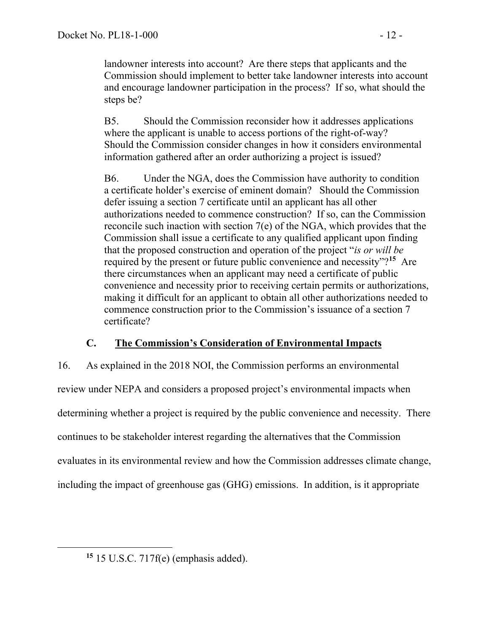landowner interests into account? Are there steps that applicants and the Commission should implement to better take landowner interests into account and encourage landowner participation in the process? If so, what should the steps be?

B5. Should the Commission reconsider how it addresses applications where the applicant is unable to access portions of the right-of-way? Should the Commission consider changes in how it considers environmental information gathered after an order authorizing a project is issued?

B6. Under the NGA, does the Commission have authority to condition a certificate holder's exercise of eminent domain? Should the Commission defer issuing a section 7 certificate until an applicant has all other authorizations needed to commence construction? If so, can the Commission reconcile such inaction with section 7(e) of the NGA, which provides that the Commission shall issue a certificate to any qualified applicant upon finding that the proposed construction and operation of the project "*is or will be* required by the present or future public convenience and necessity"?**[15](#page-13-0)** Are there circumstances when an applicant may need a certificate of public convenience and necessity prior to receiving certain permits or authorizations, making it difficult for an applicant to obtain all other authorizations needed to commence construction prior to the Commission's issuance of a section 7 certificate?

## **C. The Commission's Consideration of Environmental Impacts**

16. As explained in the 2018 NOI, the Commission performs an environmental review under NEPA and considers a proposed project's environmental impacts when determining whether a project is required by the public convenience and necessity. There continues to be stakeholder interest regarding the alternatives that the Commission evaluates in its environmental review and how the Commission addresses climate change, including the impact of greenhouse gas (GHG) emissions. In addition, is it appropriate

<span id="page-13-0"></span>**<sup>15</sup>** 15 U.S.C. 717f(e) (emphasis added).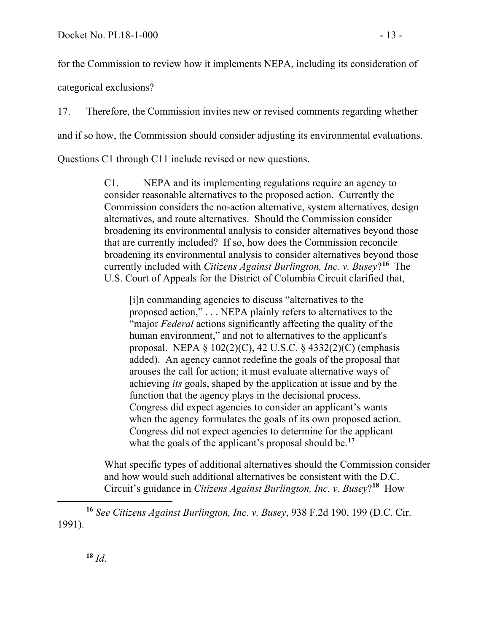categorical exclusions?

17. Therefore, the Commission invites new or revised comments regarding whether and if so how, the Commission should consider adjusting its environmental evaluations.

Questions C1 through C11 include revised or new questions.

C1. NEPA and its implementing regulations require an agency to consider reasonable alternatives to the proposed action. Currently the Commission considers the no-action alternative, system alternatives, design alternatives, and route alternatives. Should the Commission consider broadening its environmental analysis to consider alternatives beyond those that are currently included? If so, how does the Commission reconcile broadening its environmental analysis to consider alternatives beyond those currently included with *Citizens Against Burlington, Inc. v. Busey*?**[16](#page-14-0)** The U.S. Court of Appeals for the District of Columbia Circuit clarified that,

[i]n commanding agencies to discuss "alternatives to the proposed action," . . . NEPA plainly refers to alternatives to the "major *Federal* actions significantly affecting the quality of the human environment," and not to alternatives to the applicant's proposal. NEPA § 102(2)(C), 42 U.S.C. § 4332(2)(C) (emphasis added). An agency cannot redefine the goals of the proposal that arouses the call for action; it must evaluate alternative ways of achieving *its* goals, shaped by the application at issue and by the function that the agency plays in the decisional process. Congress did expect agencies to consider an applicant's wants when the agency formulates the goals of its own proposed action. Congress did not expect agencies to determine for the applicant what the goals of the applicant's proposal should be.**[17](#page-14-1)**

What specific types of additional alternatives should the Commission consider and how would such additional alternatives be consistent with the D.C. Circuit's guidance in *Citizens Against Burlington, Inc. v. Busey*?**[18](#page-14-2)** How

<span id="page-14-2"></span><span id="page-14-1"></span><span id="page-14-0"></span>**<sup>16</sup>** *See Citizens Against Burlington, Inc. v. Busey*, 938 F.2d 190, 199 (D.C. Cir. 1991).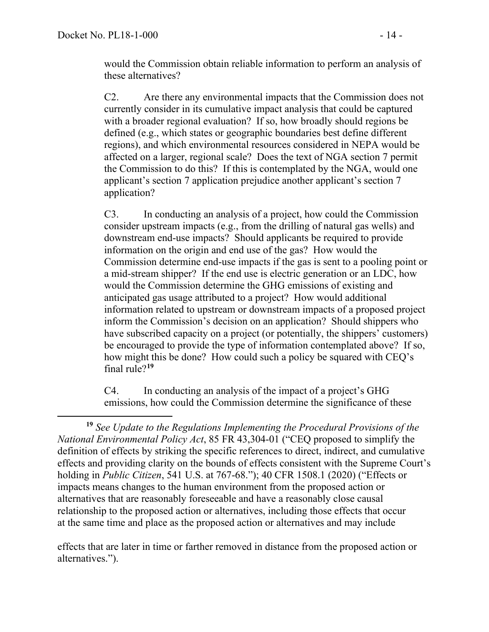would the Commission obtain reliable information to perform an analysis of these alternatives?

C2. Are there any environmental impacts that the Commission does not currently consider in its cumulative impact analysis that could be captured with a broader regional evaluation? If so, how broadly should regions be defined (e.g., which states or geographic boundaries best define different regions), and which environmental resources considered in NEPA would be affected on a larger, regional scale? Does the text of NGA section 7 permit the Commission to do this? If this is contemplated by the NGA, would one applicant's section 7 application prejudice another applicant's section 7 application?

C3. In conducting an analysis of a project, how could the Commission consider upstream impacts (e.g., from the drilling of natural gas wells) and downstream end-use impacts? Should applicants be required to provide information on the origin and end use of the gas? How would the Commission determine end-use impacts if the gas is sent to a pooling point or a mid-stream shipper? If the end use is electric generation or an LDC, how would the Commission determine the GHG emissions of existing and anticipated gas usage attributed to a project? How would additional information related to upstream or downstream impacts of a proposed project inform the Commission's decision on an application? Should shippers who have subscribed capacity on a project (or potentially, the shippers' customers) be encouraged to provide the type of information contemplated above? If so, how might this be done? How could such a policy be squared with CEQ's final rule?**[19](#page-15-0)**

C4. In conducting an analysis of the impact of a project's GHG emissions, how could the Commission determine the significance of these

effects that are later in time or farther removed in distance from the proposed action or alternatives.").

<span id="page-15-0"></span>**<sup>19</sup>** *See Update to the Regulations Implementing the Procedural Provisions of the National Environmental Policy Act*, 85 FR 43,304-01 ("CEQ proposed to simplify the definition of effects by striking the specific references to direct, indirect, and cumulative effects and providing clarity on the bounds of effects consistent with the Supreme Court's holding in *Public Citizen*, 541 U.S. at 767-68."); 40 CFR 1508.1 (2020) ("Effects or impacts means changes to the human environment from the proposed action or alternatives that are reasonably foreseeable and have a reasonably close causal relationship to the proposed action or alternatives, including those effects that occur at the same time and place as the proposed action or alternatives and may include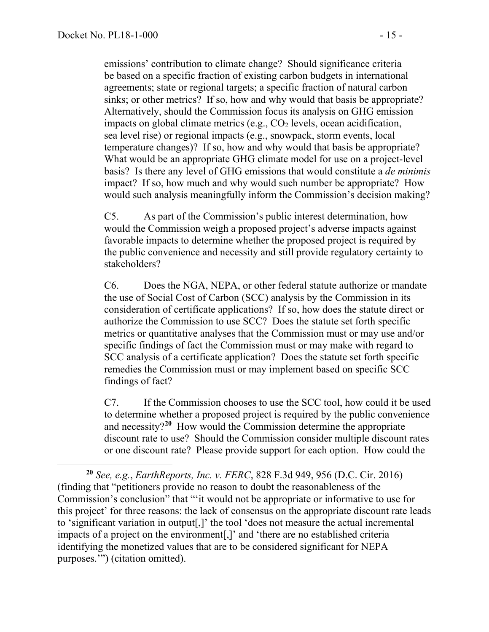emissions' contribution to climate change? Should significance criteria be based on a specific fraction of existing carbon budgets in international agreements; state or regional targets; a specific fraction of natural carbon sinks; or other metrics? If so, how and why would that basis be appropriate? Alternatively, should the Commission focus its analysis on GHG emission impacts on global climate metrics (e.g.,  $CO<sub>2</sub>$  levels, ocean acidification, sea level rise) or regional impacts (e.g., snowpack, storm events, local temperature changes)? If so, how and why would that basis be appropriate? What would be an appropriate GHG climate model for use on a project-level basis? Is there any level of GHG emissions that would constitute a *de minimis* impact? If so, how much and why would such number be appropriate? How would such analysis meaningfully inform the Commission's decision making?

C5. As part of the Commission's public interest determination, how would the Commission weigh a proposed project's adverse impacts against favorable impacts to determine whether the proposed project is required by the public convenience and necessity and still provide regulatory certainty to stakeholders?

C6. Does the NGA, NEPA, or other federal statute authorize or mandate the use of Social Cost of Carbon (SCC) analysis by the Commission in its consideration of certificate applications? If so, how does the statute direct or authorize the Commission to use SCC? Does the statute set forth specific metrics or quantitative analyses that the Commission must or may use and/or specific findings of fact the Commission must or may make with regard to SCC analysis of a certificate application? Does the statute set forth specific remedies the Commission must or may implement based on specific SCC findings of fact?

C7. If the Commission chooses to use the SCC tool, how could it be used to determine whether a proposed project is required by the public convenience and necessity?**[20](#page-16-0)** How would the Commission determine the appropriate discount rate to use? Should the Commission consider multiple discount rates or one discount rate? Please provide support for each option. How could the

<span id="page-16-0"></span>**<sup>20</sup>** *See, e.g.*, *EarthReports, Inc. v. FERC*, 828 F.3d 949, 956 (D.C. Cir. 2016) (finding that "petitioners provide no reason to doubt the reasonableness of the Commission's conclusion" that "'it would not be appropriate or informative to use for this project' for three reasons: the lack of consensus on the appropriate discount rate leads to 'significant variation in output[,]' the tool 'does not measure the actual incremental impacts of a project on the environment[,]' and 'there are no established criteria identifying the monetized values that are to be considered significant for NEPA purposes.'") (citation omitted).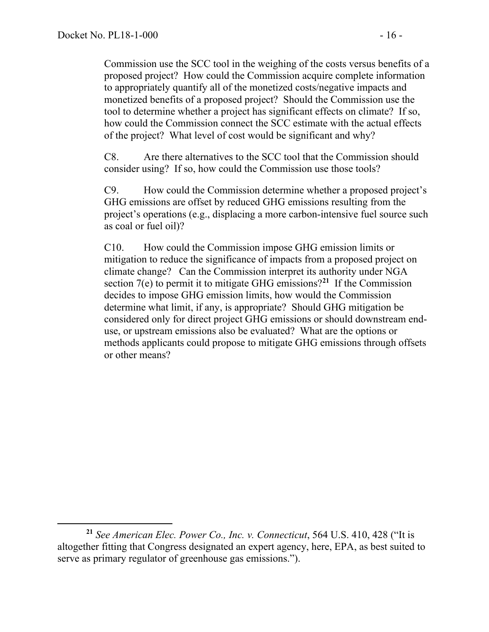Commission use the SCC tool in the weighing of the costs versus benefits of a proposed project? How could the Commission acquire complete information to appropriately quantify all of the monetized costs/negative impacts and monetized benefits of a proposed project? Should the Commission use the tool to determine whether a project has significant effects on climate? If so, how could the Commission connect the SCC estimate with the actual effects of the project? What level of cost would be significant and why?

C8. Are there alternatives to the SCC tool that the Commission should consider using? If so, how could the Commission use those tools?

C9. How could the Commission determine whether a proposed project's GHG emissions are offset by reduced GHG emissions resulting from the project's operations (e.g., displacing a more carbon-intensive fuel source such as coal or fuel oil)?

C10. How could the Commission impose GHG emission limits or mitigation to reduce the significance of impacts from a proposed project on climate change? Can the Commission interpret its authority under NGA section 7(e) to permit it to mitigate GHG emissions?**[21](#page-17-0)** If the Commission decides to impose GHG emission limits, how would the Commission determine what limit, if any, is appropriate? Should GHG mitigation be considered only for direct project GHG emissions or should downstream enduse, or upstream emissions also be evaluated? What are the options or methods applicants could propose to mitigate GHG emissions through offsets or other means?

<span id="page-17-0"></span>**<sup>21</sup>** *See American Elec. Power Co., Inc. v. Connecticut*, 564 U.S. 410, 428 ("It is altogether fitting that Congress designated an expert agency, here, EPA, as best suited to serve as primary regulator of greenhouse gas emissions.").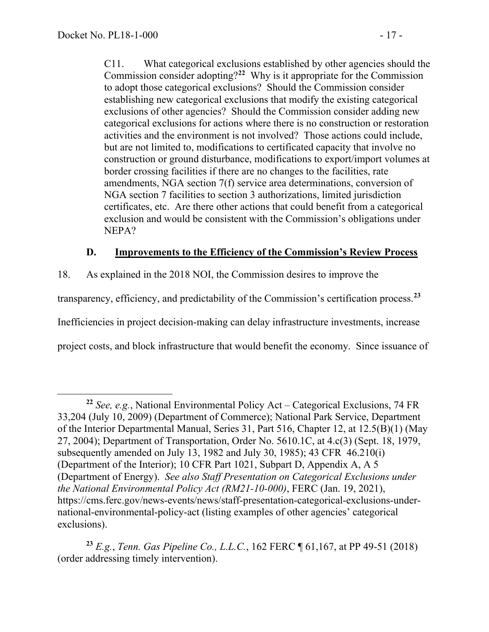C11. What categorical exclusions established by other agencies should the Commission consider adopting?**[22](#page-18-0)** Why is it appropriate for the Commission to adopt those categorical exclusions? Should the Commission consider establishing new categorical exclusions that modify the existing categorical exclusions of other agencies? Should the Commission consider adding new categorical exclusions for actions where there is no construction or restoration activities and the environment is not involved? Those actions could include, but are not limited to, modifications to certificated capacity that involve no construction or ground disturbance, modifications to export/import volumes at border crossing facilities if there are no changes to the facilities, rate amendments, NGA section 7(f) service area determinations, conversion of NGA section 7 facilities to section 3 authorizations, limited jurisdiction certificates, etc. Are there other actions that could benefit from a categorical exclusion and would be consistent with the Commission's obligations under NEPA?

## **D. Improvements to the Efficiency of the Commission's Review Process**

18. As explained in the 2018 NOI, the Commission desires to improve the

transparency, efficiency, and predictability of the Commission's certification process.**[23](#page-18-1)**

Inefficiencies in project decision-making can delay infrastructure investments, increase

project costs, and block infrastructure that would benefit the economy. Since issuance of

<span id="page-18-0"></span>**<sup>22</sup>** *See, e.g.*, National Environmental Policy Act – Categorical Exclusions, 74 FR 33,204 (July 10, 2009) (Department of Commerce); National Park Service, Department of the Interior Departmental Manual, Series 31, Part 516, Chapter 12, at 12.5(B)(1) (May 27, 2004); Department of Transportation, Order No. 5610.1C, at 4.c(3) (Sept. 18, 1979, subsequently amended on July 13, 1982 and July 30, 1985); 43 CFR 46.210(i) (Department of the Interior); 10 CFR Part 1021, Subpart D, Appendix A, A 5 (Department of Energy). *See also Staff Presentation on Categorical Exclusions under the National Environmental Policy Act (RM21-10-000)*, FERC (Jan. 19, 2021), https://cms.ferc.gov/news-events/news/staff-presentation-categorical-exclusions-undernational-environmental-policy-act (listing examples of other agencies' categorical exclusions).

<span id="page-18-1"></span>**<sup>23</sup>** *E.g.*, *Tenn. Gas Pipeline Co., L.L.C.*, 162 FERC ¶ 61,167, at PP 49-51 (2018) (order addressing timely intervention).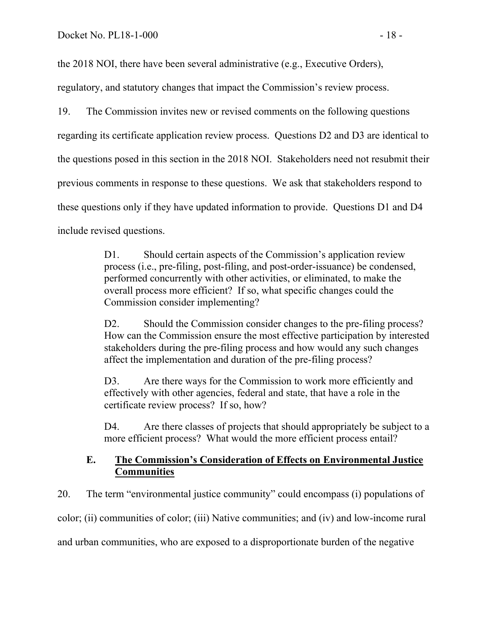the 2018 NOI, there have been several administrative (e.g., Executive Orders),

regulatory, and statutory changes that impact the Commission's review process.

19. The Commission invites new or revised comments on the following questions regarding its certificate application review process. Questions D2 and D3 are identical to the questions posed in this section in the 2018 NOI. Stakeholders need not resubmit their previous comments in response to these questions. We ask that stakeholders respond to these questions only if they have updated information to provide. Questions D1 and D4 include revised questions.

> D1. Should certain aspects of the Commission's application review process (i.e., pre-filing, post-filing, and post-order-issuance) be condensed, performed concurrently with other activities, or eliminated, to make the overall process more efficient? If so, what specific changes could the Commission consider implementing?

D2. Should the Commission consider changes to the pre-filing process? How can the Commission ensure the most effective participation by interested stakeholders during the pre-filing process and how would any such changes affect the implementation and duration of the pre-filing process?

D3. Are there ways for the Commission to work more efficiently and effectively with other agencies, federal and state, that have a role in the certificate review process? If so, how?

D4. Are there classes of projects that should appropriately be subject to a more efficient process? What would the more efficient process entail?

## **E. The Commission's Consideration of Effects on Environmental Justice Communities**

20. The term "environmental justice community" could encompass (i) populations of color; (ii) communities of color; (iii) Native communities; and (iv) and low-income rural and urban communities, who are exposed to a disproportionate burden of the negative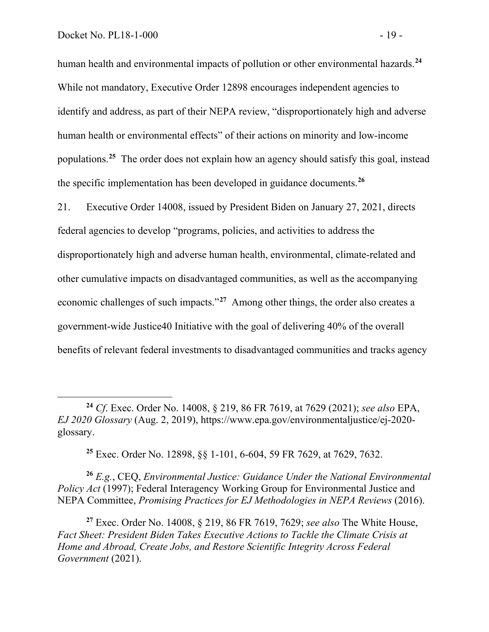human health and environmental impacts of pollution or other environmental hazards.**[24](#page-20-0)** While not mandatory, Executive Order 12898 encourages independent agencies to identify and address, as part of their NEPA review, "disproportionately high and adverse human health or environmental effects" of their actions on minority and low-income populations.**[25](#page-20-1)** The order does not explain how an agency should satisfy this goal, instead the specific implementation has been developed in guidance documents.**[26](#page-20-2)**

21. Executive Order 14008, issued by President Biden on January 27, 2021, directs federal agencies to develop "programs, policies, and activities to address the disproportionately high and adverse human health, environmental, climate-related and other cumulative impacts on disadvantaged communities, as well as the accompanying economic challenges of such impacts."**[27](#page-20-3)** Among other things, the order also creates a government-wide Justice40 Initiative with the goal of delivering 40% of the overall benefits of relevant federal investments to disadvantaged communities and tracks agency

**<sup>25</sup>** Exec. Order No. 12898, §§ 1-101, 6-604, 59 FR 7629, at 7629, 7632.

<span id="page-20-2"></span><span id="page-20-1"></span>**<sup>26</sup>** *E.g.*, CEQ, *Environmental Justice: Guidance Under the National Environmental Policy Act* (1997); Federal Interagency Working Group for Environmental Justice and NEPA Committee, *Promising Practices for EJ Methodologies in NEPA Reviews* (2016).

<span id="page-20-3"></span>**<sup>27</sup>** Exec. Order No. 14008, § 219, 86 FR 7619, 7629; *see also* The White House, *Fact Sheet: President Biden Takes Executive Actions to Tackle the Climate Crisis at Home and Abroad, Create Jobs, and Restore Scientific Integrity Across Federal Government* (2021).

<span id="page-20-0"></span>**<sup>24</sup>** *Cf*. Exec. Order No. 14008, § 219, 86 FR 7619, at 7629 (2021); *see also* EPA, *EJ 2020 Glossary* (Aug. 2, 2019), https://www.epa.gov/environmentaljustice/ej-2020 glossary.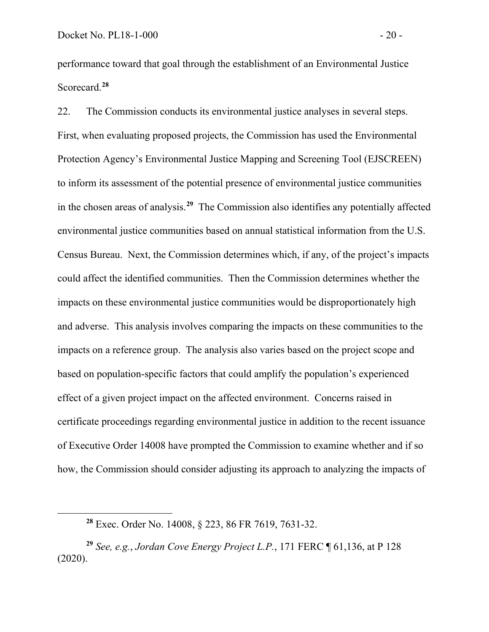performance toward that goal through the establishment of an Environmental Justice Scorecard.**[28](#page-21-0)**

22. The Commission conducts its environmental justice analyses in several steps. First, when evaluating proposed projects, the Commission has used the Environmental Protection Agency's Environmental Justice Mapping and Screening Tool (EJSCREEN) to inform its assessment of the potential presence of environmental justice communities in the chosen areas of analysis.**[29](#page-21-1)** The Commission also identifies any potentially affected environmental justice communities based on annual statistical information from the U.S. Census Bureau. Next, the Commission determines which, if any, of the project's impacts could affect the identified communities. Then the Commission determines whether the impacts on these environmental justice communities would be disproportionately high and adverse. This analysis involves comparing the impacts on these communities to the impacts on a reference group. The analysis also varies based on the project scope and based on population-specific factors that could amplify the population's experienced effect of a given project impact on the affected environment. Concerns raised in certificate proceedings regarding environmental justice in addition to the recent issuance of Executive Order 14008 have prompted the Commission to examine whether and if so how, the Commission should consider adjusting its approach to analyzing the impacts of

**<sup>28</sup>** Exec. Order No. 14008, § 223, 86 FR 7619, 7631-32.

<span id="page-21-1"></span><span id="page-21-0"></span>**<sup>29</sup>** *See, e.g.*, *Jordan Cove Energy Project L.P.*, 171 FERC ¶ 61,136, at P 128 (2020).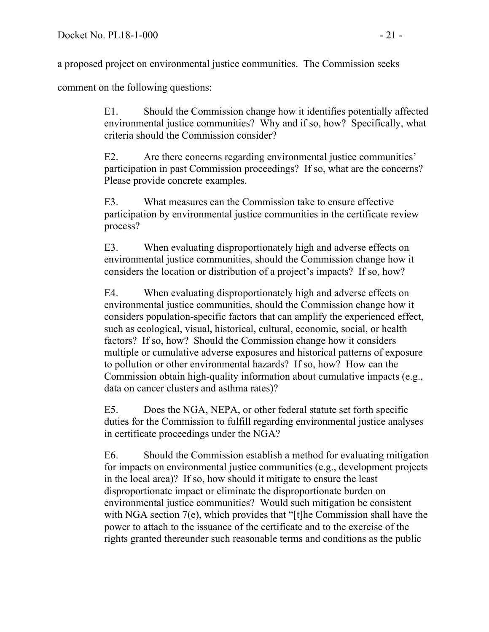a proposed project on environmental justice communities. The Commission seeks

comment on the following questions:

E1. Should the Commission change how it identifies potentially affected environmental justice communities? Why and if so, how? Specifically, what criteria should the Commission consider?

E2. Are there concerns regarding environmental justice communities' participation in past Commission proceedings? If so, what are the concerns? Please provide concrete examples.

E3. What measures can the Commission take to ensure effective participation by environmental justice communities in the certificate review process?

E3. When evaluating disproportionately high and adverse effects on environmental justice communities, should the Commission change how it considers the location or distribution of a project's impacts? If so, how?

E4. When evaluating disproportionately high and adverse effects on environmental justice communities, should the Commission change how it considers population-specific factors that can amplify the experienced effect, such as ecological, visual, historical, cultural, economic, social, or health factors? If so, how? Should the Commission change how it considers multiple or cumulative adverse exposures and historical patterns of exposure to pollution or other environmental hazards? If so, how? How can the Commission obtain high-quality information about cumulative impacts (e.g., data on cancer clusters and asthma rates)?

E5. Does the NGA, NEPA, or other federal statute set forth specific duties for the Commission to fulfill regarding environmental justice analyses in certificate proceedings under the NGA?

E6. Should the Commission establish a method for evaluating mitigation for impacts on environmental justice communities (e.g., development projects in the local area)? If so, how should it mitigate to ensure the least disproportionate impact or eliminate the disproportionate burden on environmental justice communities? Would such mitigation be consistent with NGA section 7(e), which provides that "[t]he Commission shall have the power to attach to the issuance of the certificate and to the exercise of the rights granted thereunder such reasonable terms and conditions as the public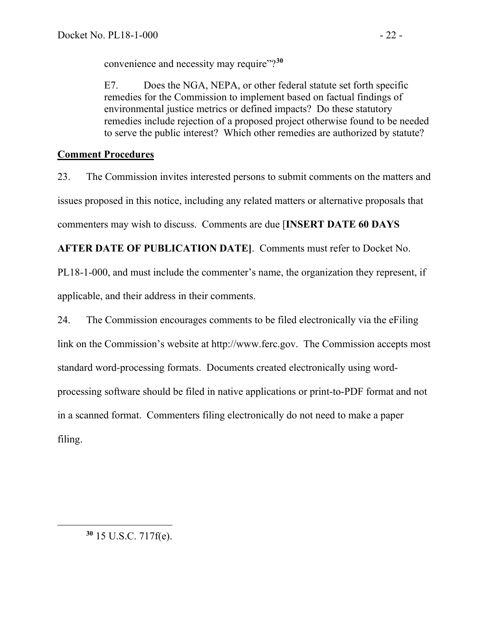convenience and necessity may require"?**[30](#page-23-0)**

E7. Does the NGA, NEPA, or other federal statute set forth specific remedies for the Commission to implement based on factual findings of environmental justice metrics or defined impacts? Do these statutory remedies include rejection of a proposed project otherwise found to be needed to serve the public interest? Which other remedies are authorized by statute?

# **Comment Procedures**

23. The Commission invites interested persons to submit comments on the matters and issues proposed in this notice, including any related matters or alternative proposals that commenters may wish to discuss. Comments are due [**INSERT DATE 60 DAYS** 

**AFTER DATE OF PUBLICATION DATE]**. Comments must refer to Docket No.

PL18-1-000, and must include the commenter's name, the organization they represent, if applicable, and their address in their comments.

<span id="page-23-0"></span>24. The Commission encourages comments to be filed electronically via the eFiling link on the Commission's website at http://www.ferc.gov. The Commission accepts most standard word-processing formats. Documents created electronically using wordprocessing software should be filed in native applications or print-to-PDF format and not in a scanned format. Commenters filing electronically do not need to make a paper filing.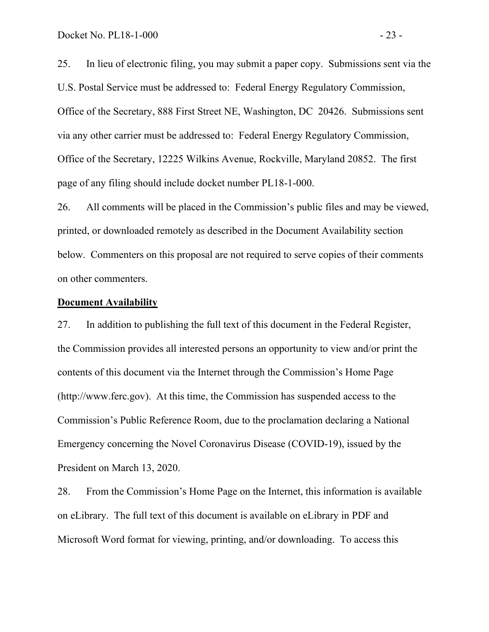25. In lieu of electronic filing, you may submit a paper copy. Submissions sent via the U.S. Postal Service must be addressed to: Federal Energy Regulatory Commission, Office of the Secretary, 888 First Street NE, Washington, DC 20426. Submissions sent via any other carrier must be addressed to: Federal Energy Regulatory Commission, Office of the Secretary, 12225 Wilkins Avenue, Rockville, Maryland 20852. The first page of any filing should include docket number PL18-1-000.

26. All comments will be placed in the Commission's public files and may be viewed, printed, or downloaded remotely as described in the Document Availability section below. Commenters on this proposal are not required to serve copies of their comments on other commenters.

#### **Document Availability**

27. In addition to publishing the full text of this document in the Federal Register, the Commission provides all interested persons an opportunity to view and/or print the contents of this document via the Internet through the Commission's Home Page (http://www.ferc.gov). At this time, the Commission has suspended access to the Commission's Public Reference Room, due to the proclamation declaring a National Emergency concerning the Novel Coronavirus Disease (COVID-19), issued by the President on March 13, 2020.

28. From the Commission's Home Page on the Internet, this information is available on eLibrary. The full text of this document is available on eLibrary in PDF and Microsoft Word format for viewing, printing, and/or downloading. To access this